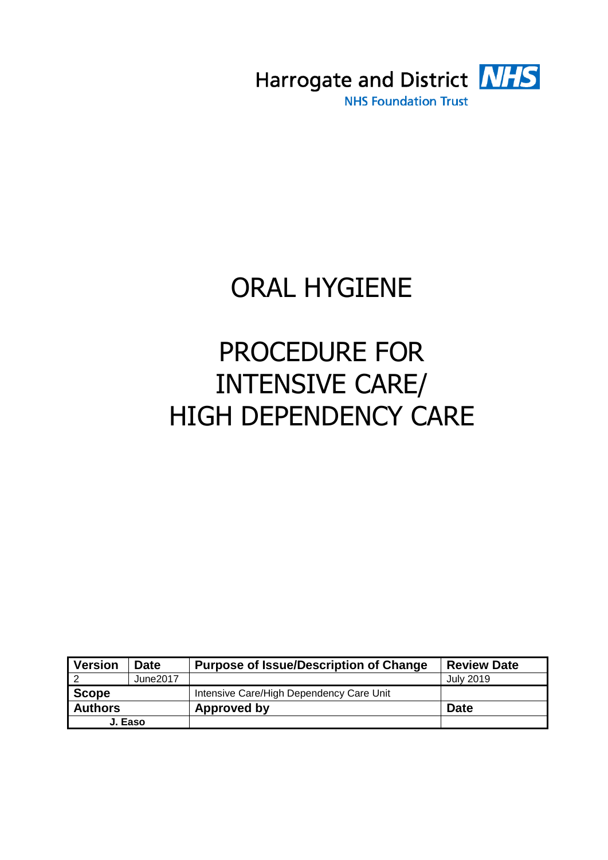

# ORAL HYGIENE

# PROCEDURE FOR INTENSIVE CARE/ HIGH DEPENDENCY CARE

| <b>Version</b> | <b>Date</b> | <b>Purpose of Issue/Description of Change</b> | <b>Review Date</b> |
|----------------|-------------|-----------------------------------------------|--------------------|
|                | June2017    |                                               | July 2019          |
| <b>Scope</b>   |             | Intensive Care/High Dependency Care Unit      |                    |
| <b>Authors</b> |             | Approved by                                   | <b>Date</b>        |
| J. Easo        |             |                                               |                    |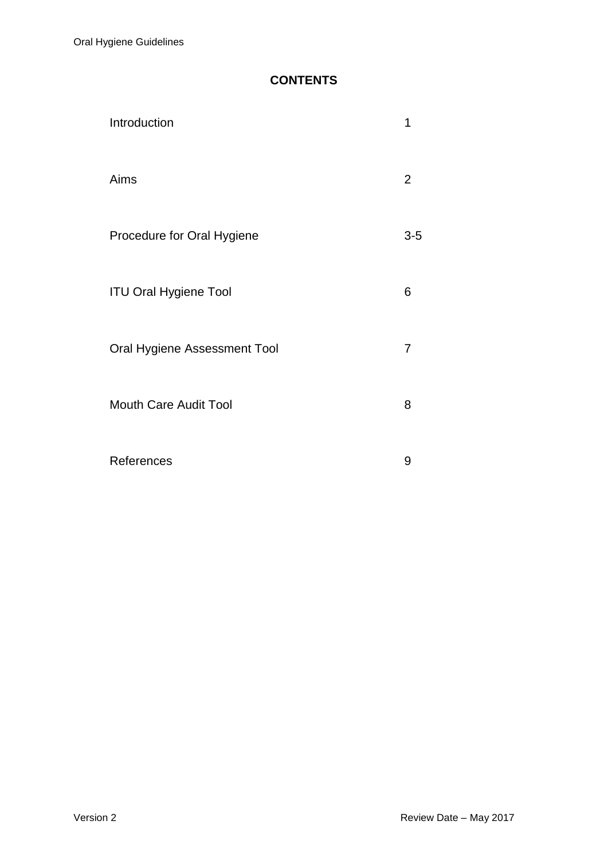# **CONTENTS**

| Introduction                 | 1   |
|------------------------------|-----|
| Aims                         | 2   |
| Procedure for Oral Hygiene   | 3-5 |
| <b>ITU Oral Hygiene Tool</b> | 6   |
| Oral Hygiene Assessment Tool | 7   |
| <b>Mouth Care Audit Tool</b> | 8   |
| References                   | 9   |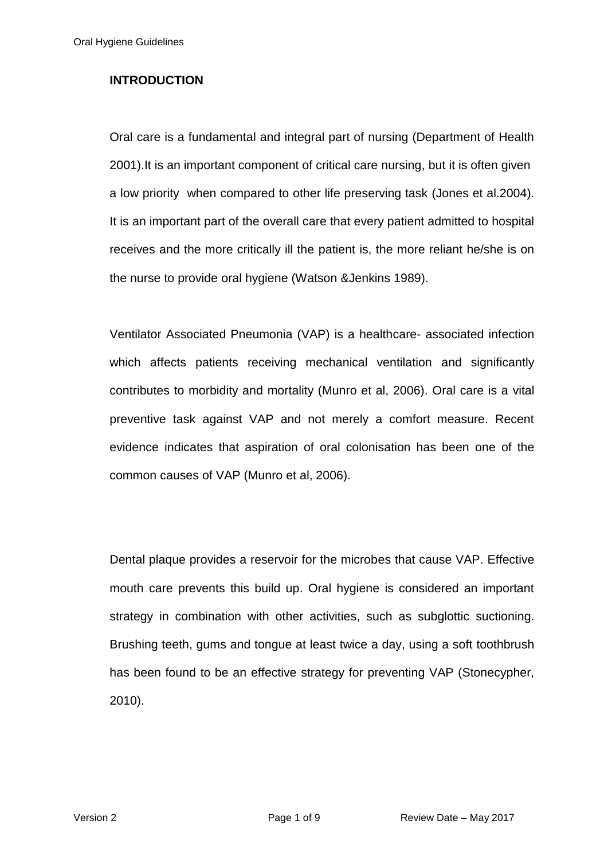## **INTRODUCTION**

Oral care is a fundamental and integral part of nursing (Department of Health 2001).It is an important component of critical care nursing, but it is often given a low priority when compared to other life preserving task (Jones et al.2004). It is an important part of the overall care that every patient admitted to hospital receives and the more critically ill the patient is, the more reliant he/she is on the nurse to provide oral hygiene (Watson &Jenkins 1989).

Ventilator Associated Pneumonia (VAP) is a healthcare- associated infection which affects patients receiving mechanical ventilation and significantly contributes to morbidity and mortality (Munro et al, 2006). Oral care is a vital preventive task against VAP and not merely a comfort measure. Recent evidence indicates that aspiration of oral colonisation has been one of the common causes of VAP (Munro et al, 2006).

Dental plaque provides a reservoir for the microbes that cause VAP. Effective mouth care prevents this build up. Oral hygiene is considered an important strategy in combination with other activities, such as subglottic suctioning. Brushing teeth, gums and tongue at least twice a day, using a soft toothbrush has been found to be an effective strategy for preventing VAP (Stonecypher, 2010).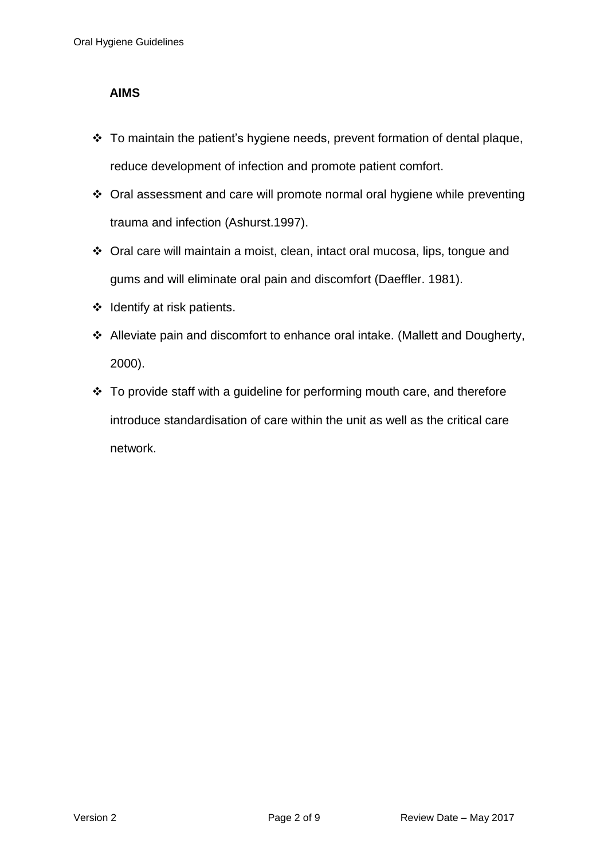#### **AIMS**

- \* To maintain the patient's hygiene needs, prevent formation of dental plaque, reduce development of infection and promote patient comfort.
- Oral assessment and care will promote normal oral hygiene while preventing trauma and infection (Ashurst.1997).
- Oral care will maintain a moist, clean, intact oral mucosa, lips, tongue and gums and will eliminate oral pain and discomfort (Daeffler. 1981).
- $\div$  Identify at risk patients.
- Alleviate pain and discomfort to enhance oral intake. (Mallett and Dougherty, 2000).
- $\cdot$  To provide staff with a guideline for performing mouth care, and therefore introduce standardisation of care within the unit as well as the critical care network.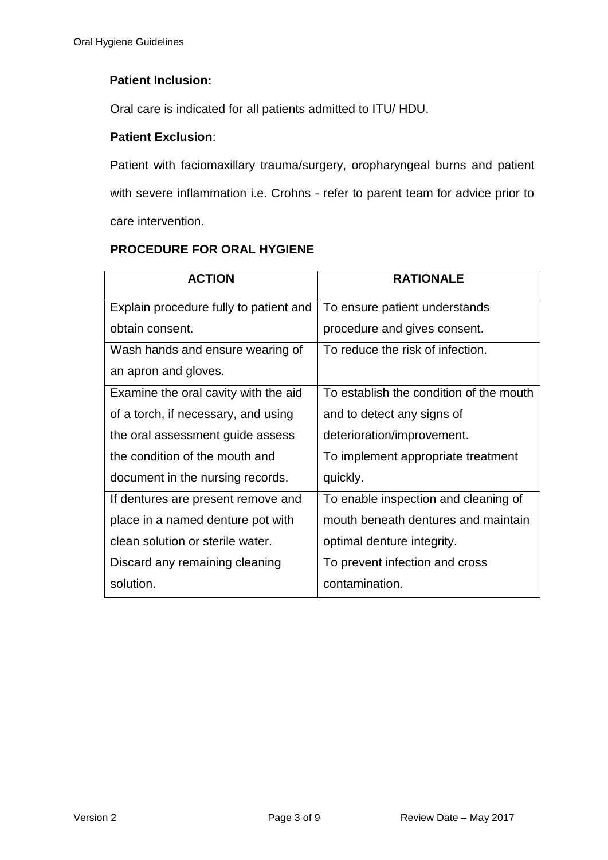## **Patient Inclusion:**

Oral care is indicated for all patients admitted to ITU/ HDU.

#### **Patient Exclusion**:

Patient with faciomaxillary trauma/surgery, oropharyngeal burns and patient with severe inflammation i.e. Crohns - refer to parent team for advice prior to care intervention.

# **PROCEDURE FOR ORAL HYGIENE**

| <b>ACTION</b>                          | <b>RATIONALE</b>                        |
|----------------------------------------|-----------------------------------------|
| Explain procedure fully to patient and | To ensure patient understands           |
| obtain consent.                        | procedure and gives consent.            |
| Wash hands and ensure wearing of       | To reduce the risk of infection.        |
| an apron and gloves.                   |                                         |
| Examine the oral cavity with the aid   | To establish the condition of the mouth |
| of a torch, if necessary, and using    | and to detect any signs of              |
| the oral assessment guide assess       | deterioration/improvement.              |
| the condition of the mouth and         | To implement appropriate treatment      |
| document in the nursing records.       | quickly.                                |
| If dentures are present remove and     | To enable inspection and cleaning of    |
| place in a named denture pot with      | mouth beneath dentures and maintain     |
| clean solution or sterile water.       | optimal denture integrity.              |
| Discard any remaining cleaning         | To prevent infection and cross          |
| solution.                              | contamination.                          |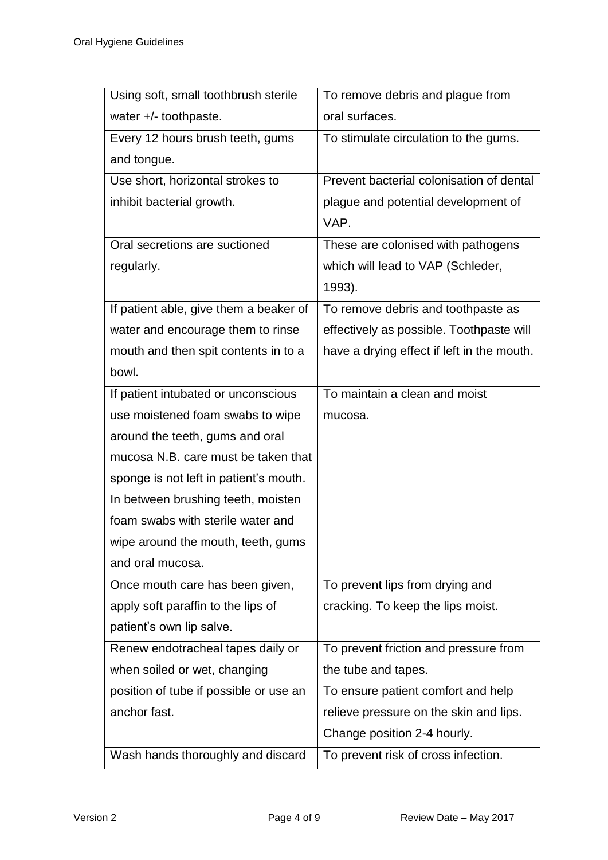| Using soft, small toothbrush sterile   | To remove debris and plague from           |
|----------------------------------------|--------------------------------------------|
| water +/- toothpaste.                  | oral surfaces.                             |
| Every 12 hours brush teeth, gums       | To stimulate circulation to the gums.      |
| and tongue.                            |                                            |
| Use short, horizontal strokes to       | Prevent bacterial colonisation of dental   |
| inhibit bacterial growth.              | plague and potential development of        |
|                                        | VAP.                                       |
| Oral secretions are suctioned          | These are colonised with pathogens         |
| regularly.                             | which will lead to VAP (Schleder,          |
|                                        | 1993).                                     |
| If patient able, give them a beaker of | To remove debris and toothpaste as         |
| water and encourage them to rinse      | effectively as possible. Toothpaste will   |
| mouth and then spit contents in to a   | have a drying effect if left in the mouth. |
| bowl.                                  |                                            |
| If patient intubated or unconscious    | To maintain a clean and moist              |
| use moistened foam swabs to wipe       | mucosa.                                    |
| around the teeth, gums and oral        |                                            |
| mucosa N.B. care must be taken that    |                                            |
| sponge is not left in patient's mouth. |                                            |
| In between brushing teeth, moisten     |                                            |
| foam swabs with sterile water and      |                                            |
| wipe around the mouth, teeth, gums     |                                            |
| and oral mucosa.                       |                                            |
| Once mouth care has been given,        | To prevent lips from drying and            |
| apply soft paraffin to the lips of     | cracking. To keep the lips moist.          |
| patient's own lip salve.               |                                            |
| Renew endotracheal tapes daily or      | To prevent friction and pressure from      |
| when soiled or wet, changing           | the tube and tapes.                        |
| position of tube if possible or use an | To ensure patient comfort and help         |
| anchor fast.                           | relieve pressure on the skin and lips.     |
|                                        | Change position 2-4 hourly.                |
| Wash hands thoroughly and discard      | To prevent risk of cross infection.        |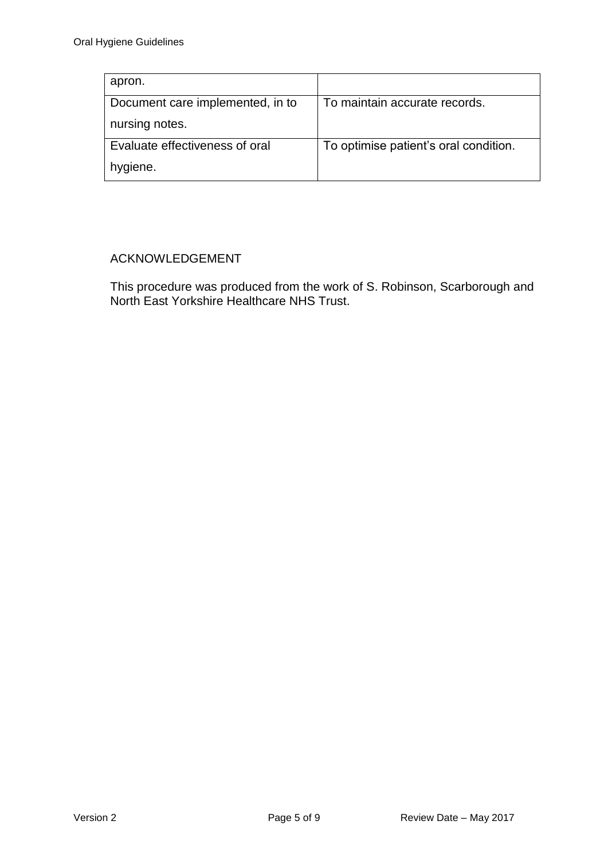| apron.                           |                                       |
|----------------------------------|---------------------------------------|
| Document care implemented, in to | To maintain accurate records.         |
| nursing notes.                   |                                       |
| Evaluate effectiveness of oral   | To optimise patient's oral condition. |
| hygiene.                         |                                       |

### ACKNOWLEDGEMENT

This procedure was produced from the work of S. Robinson, Scarborough and North East Yorkshire Healthcare NHS Trust.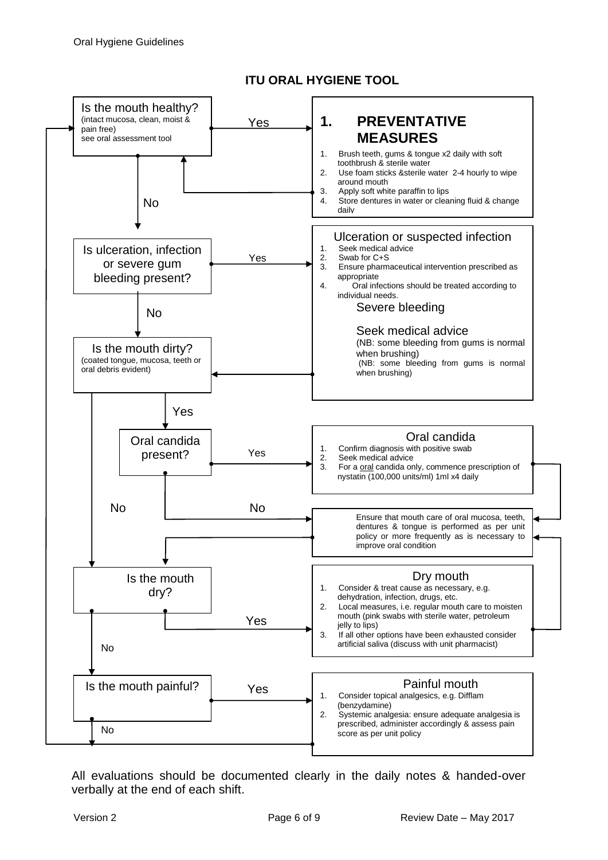

**ITU ORAL HYGIENE TOOL**

All evaluations should be documented clearly in the daily notes & handed-over verbally at the end of each shift.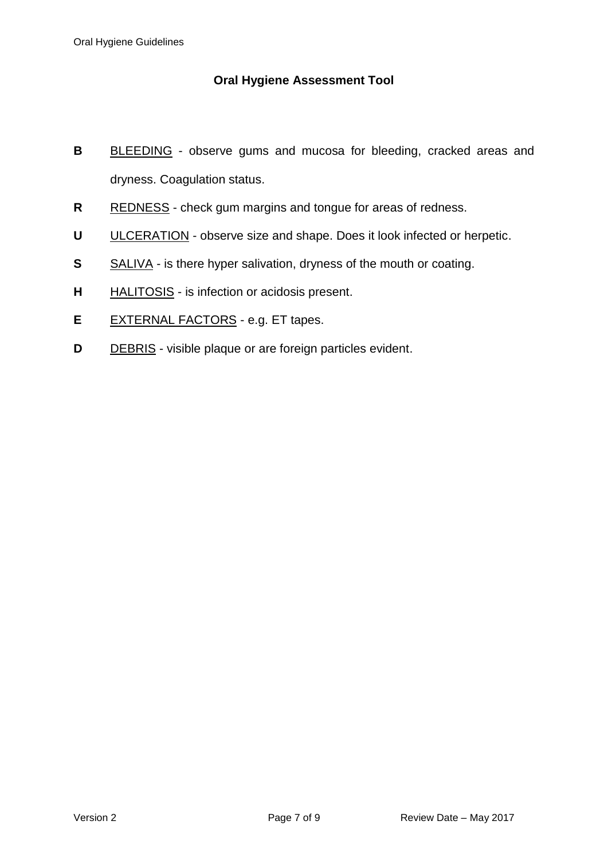## **Oral Hygiene Assessment Tool**

- **B** BLEEDING observe gums and mucosa for bleeding, cracked areas and dryness. Coagulation status.
- **R** REDNESS check gum margins and tongue for areas of redness.
- **U** ULCERATION observe size and shape. Does it look infected or herpetic.
- **S** SALIVA is there hyper salivation, dryness of the mouth or coating.
- **H** HALITOSIS is infection or acidosis present.
- **E** EXTERNAL FACTORS e.g. ET tapes.
- **D** DEBRIS visible plaque or are foreign particles evident.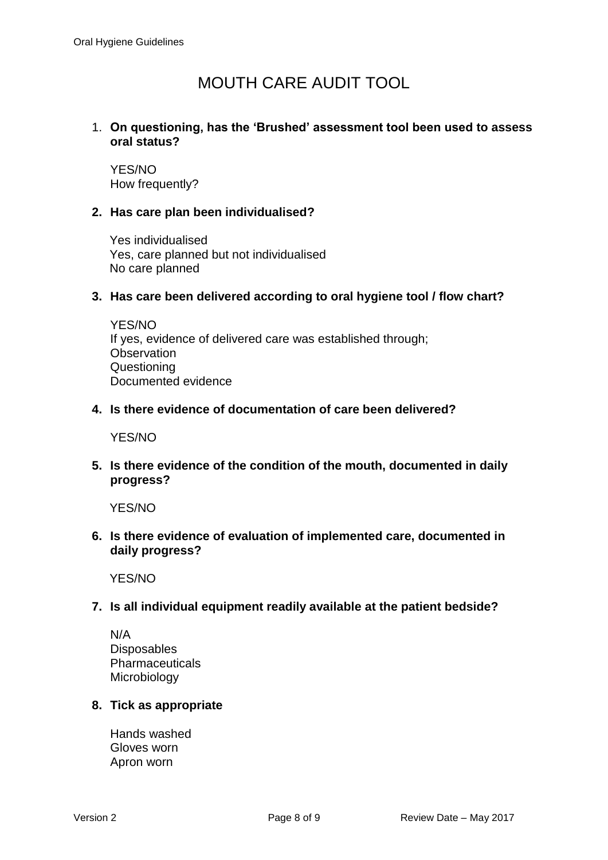# MOUTH CARE AUDIT TOOL

#### 1. **On questioning, has the 'Brushed' assessment tool been used to assess oral status?**

YES/NO How frequently?

#### **2. Has care plan been individualised?**

Yes individualised Yes, care planned but not individualised No care planned

#### **3. Has care been delivered according to oral hygiene tool / flow chart?**

YES/NO If yes, evidence of delivered care was established through; **Observation Questioning** Documented evidence

#### **4. Is there evidence of documentation of care been delivered?**

YES/NO

**5. Is there evidence of the condition of the mouth, documented in daily progress?**

YES/NO

**6. Is there evidence of evaluation of implemented care, documented in daily progress?**

YES/NO

#### **7. Is all individual equipment readily available at the patient bedside?**

N/A **Disposables** Pharmaceuticals Microbiology

#### **8. Tick as appropriate**

Hands washed Gloves worn Apron worn